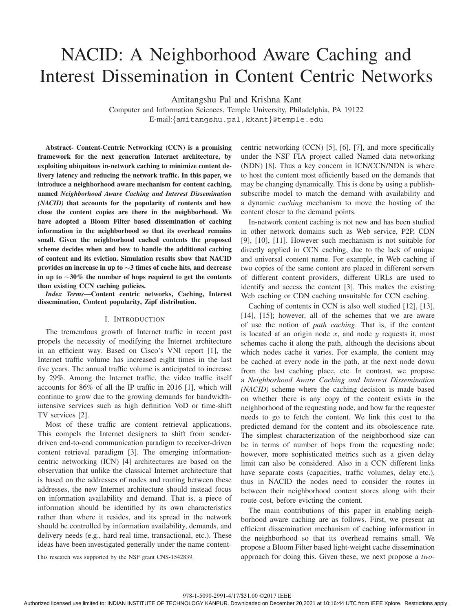# NACID: A Neighborhood Aware Caching and Interest Dissemination in Content Centric Networks

Amitangshu Pal and Krishna Kant

Computer and Information Sciences, Temple University, Philadelphia, PA 19122 E-mail:{amitangshu.pal,kkant}@temple.edu

**Abstract- Content-Centric Networking (CCN) is a promising framework for the next generation Internet architecture, by exploiting ubiquitous in-network caching to minimize content delivery latency and reducing the network traffic. In this paper, we introduce a neighborhood aware mechanism for content caching, named** *Neighborhood Aware Caching and Interest Dissemination (NACID)* **that accounts for the popularity of contents and how close the content copies are there in the neighborhood. We have adopted a Bloom Filter based dissemination of caching information in the neighborhood so that its overhead remains small. Given the neighborhood cached contents the proposed scheme decides when and how to handle the additional caching of content and its eviction. Simulation results show that NACID provides an increase in up to** ∼**3 times of cache hits, and decrease in up to** ∼**30% the number of hops required to get the contents than existing CCN caching policies.**

*Index Terms***—Content centric networks, Caching, Interest dissemination, Content popularity, Zipf distribution.**

#### I. INTRODUCTION

The tremendous growth of Internet traffic in recent past propels the necessity of modifying the Internet architecture in an efficient way. Based on Cisco's VNI report [1], the Internet traffic volume has increased eight times in the last five years. The annual traffic volume is anticipated to increase by 29%. Among the Internet traffic, the video traffic itself accounts for 86% of all the IP traffic in 2016 [1], which will continue to grow due to the growing demands for bandwidthintensive services such as high definition VoD or time-shift TV services [2].

Most of these traffic are content retrieval applications. This compels the Internet designers to shift from senderdriven end-to-end communication paradigm to receiver-driven content retrieval paradigm [3]. The emerging informationcentric networking (ICN) [4] architectures are based on the observation that unlike the classical Internet architecture that is based on the addresses of nodes and routing between these addresses, the new Internet architecture should instead focus on information availability and demand. That is, a piece of information should be identified by its own characteristics rather than where it resides, and its spread in the network should be controlled by information availability, demands, and delivery needs (e.g., hard real time, transactional, etc.). These ideas have been investigated generally under the name content-

centric networking (CCN) [5], [6], [7], and more specifically under the NSF FIA project called Named data networking (NDN) [8]. Thus a key concern in ICN/CCN/NDN is where to host the content most efficiently based on the demands that may be changing dynamically. This is done by using a publishsubscribe model to match the demand with availability and a dynamic *caching* mechanism to move the hosting of the content closer to the demand points.

In-network content caching is not new and has been studied in other network domains such as Web service, P2P, CDN [9], [10], [11]. However such mechanism is not suitable for directly applied in CCN caching, due to the lack of unique and universal content name. For example, in Web caching if two copies of the same content are placed in different servers of different content providers, different URLs are used to identify and access the content [3]. This makes the existing Web caching or CDN caching unsuitable for CCN caching.

Caching of contents in CCN is also well studied [12], [13], [14], [15]; however, all of the schemes that we are aware of use the notion of *path caching*. That is, if the content is located at an origin node  $x$ , and node  $y$  requests it, most schemes cache it along the path, although the decisions about which nodes cache it varies. For example, the content may be cached at every node in the path, at the next node down from the last caching place, etc. In contrast, we propose a *Neighborhood Aware Caching and Interest Dissemination (NACID)* scheme where the caching decision is made based on whether there is any copy of the content exists in the neighborhood of the requesting node, and how far the requester needs to go to fetch the content. We link this cost to the predicted demand for the content and its obsolescence rate. The simplest characterization of the neighborhood size can be in terms of number of hops from the requesting node; however, more sophisticated metrics such as a given delay limit can also be considered. Also in a CCN different links have separate costs (capacities, traffic volumes, delay etc.), thus in NACID the nodes need to consider the routes in between their neighborhood content stores along with their route cost, before evicting the content.

The main contributions of this paper in enabling neighborhood aware caching are as follows. First, we present an efficient dissemination mechanism of caching information in the neighborhood so that its overhead remains small. We propose a Bloom Filter based light-weight cache dissemination This research was supported by the NSF grant CNS-1542839. approach for doing this. Given these, we next propose a *two-*

978-1-5090-2991-4/17/\$31.00 ©2017 IEEE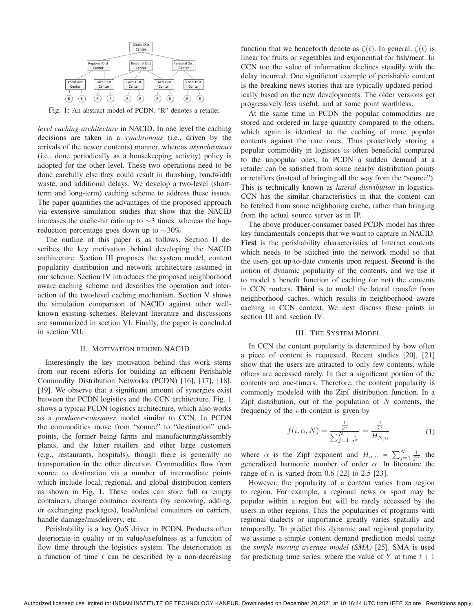

Fig. 1: An abstract model of PCDN. "R" denotes a retailer.

*level caching architecture* in NACID. In one level the caching decisions are taken in a *synchronous* (i.e., driven by the arrivals of the newer contents) manner, whereas *asynchronous* (i.e., done periodically as a housekeeping activity) policy is adopted for the other level. These two operations need to be done carefully else they could result in thrashing, bandwidth waste, and additional delays. We develop a two-level (shortterm and long-term) caching scheme to address these issues. The paper quantifies the advantages of the proposed approach via extensive simulation studies that show that the NACID increases the cache-hit ratio up to  $\sim$ 3 times, whereas the hopreduction percentage goes down up to ∼30%.

The outline of this paper is as follows. Section II describes the key motivation behind developing the NACID architecture. Section III proposes the system model, content popularity distribution and network architecture assumed in our scheme. Section IV introduces the proposed neighborhood aware caching scheme and describes the operation and interaction of the two-level caching mechanism. Section V shows the simulation comparison of NACID against other wellknown existing schemes. Relevant literature and discussions are summarized in section VI. Finally, the paper is concluded in section VII.

## II. MOTIVATION BEHIND NACID

Interestingly the key motivation behind this work stems from our recent efforts for building an efficient Perishable Commodity Distribution Networks (PCDN) [16], [17], [18], [19]. We observe that a significant amount of synergies exist between the PCDN logistics and the CCN architecture. Fig. 1 shows a typical PCDN logistics architecture, which also works as a *producer-consumer* model similar to CCN. In PCDN the commodities move from "source" to "destination" endpoints, the former being farms and manufacturing/assembly plants, and the latter retailers and other large customers (e.g., restaurants, hospitals), though there is generally no transportation in the other direction. Commodities flow from source to destination via a number of intermediate points which include local, regional, and global distribution centers as shown in Fig. 1. These nodes can store full or empty containers, change container contents (by removing, adding, or exchanging packages), load/unload containers on carriers, handle damage/misdelivery, etc.

Perishability is a key QoS driver in PCDN. Products often deteriorate in quality or in value/usefulness as a function of flow time through the logistics system. The deterioration as a function of time  $t$  can be described by a non-decreasing function that we henceforth denote as  $\zeta(t)$ . In general,  $\zeta(t)$  is linear for fruits or vegetables and exponential for fish/meat. In CCN too the value of information declines steadily with the delay incurred. One significant example of perishable content is the breaking news stories that are typically updated periodically based on the new developments. The older versions get progressively less useful, and at some point worthless.

At the same time in PCDN the popular commodities are stored and ordered in large quantity compared to the others, which again is identical to the caching of more popular contents against the rare ones. Thus proactively storing a popular commodity in logistics is often beneficial compared to the unpopular ones. In PCDN a sudden demand at a retailer can be satisfied from some nearby distribution points or retailers (instead of bringing all the way from the "source"). This is technically known as *lateral distribution* in logistics. CCN has the similar characteristics in that the content can be fetched from some neighboring cache, rather than bringing from the actual source server as in IP.

The above producer-consumer based PCDN model has three key fundamentals concepts that we want to capture in NACID. **First** is the perishability characteristics of Internet contents which needs to be stitched into the network model so that the users get up-to-date contents upon request. **Second** is the notion of dynamic popularity of the contents, and we use it to model a benefit function of caching (or not) the contents in CCN routers. **Third** is to model the lateral transfer from neighborhood caches, which results in neighborhood aware caching in CCN context. We next discuss these points in section III and section IV.

### III. THE SYSTEM MODEL

In CCN the content popularity is determined by how often a piece of content is requested. Recent studies [20], [21] show that the users are attracted to only few contents, while others are accessed rarely. In fact a significant portion of the contents are one-timers. Therefore, the content popularity is commonly modeled with the Zipf distribution function. In a Zipf distribution, out of the population of  $N$  contents, the frequency of the  $i$ -th content is given by

$$
f(i, \alpha, N) = \frac{\frac{1}{i^{\alpha}}}{\sum_{j=1}^{N} \frac{1}{j^{\alpha}}} = \frac{\frac{1}{i^{\alpha}}}{H_{N, \alpha}} \tag{1}
$$

where  $\alpha$  is the Zipf exponent and  $H_{n,\alpha} = \sum_{j=1}^{N} \frac{1}{j^{\alpha}}$  the generalized harmonic number of order  $\alpha$ . In literature the range of  $\alpha$  is varied from 0.6 [22] to 2.5 [23].

However, the popularity of a content varies from region to region. For example, a regional news or sport may be popular within a region but will be rarely accessed by the users in other regions. Thus the popularities of programs with regional dialects or importance greatly varies spatially and temporally. To predict this dynamic and regional popularity, we assume a simple content demand prediction model using the *simple moving average model (SMA)* [25]. SMA is used for predicting time series, where the value of  $Y$  at time  $t + 1$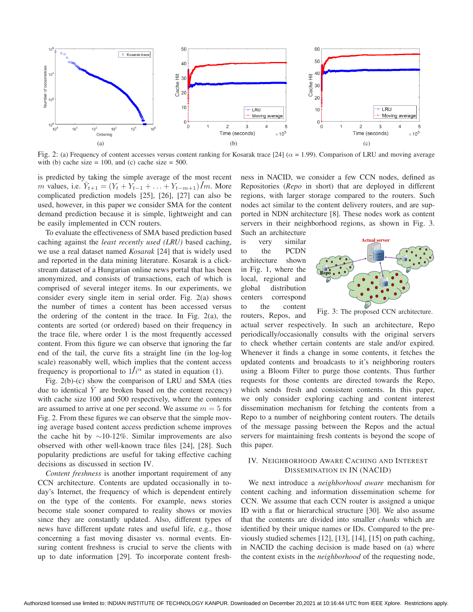

Fig. 2: (a) Frequency of content accesses versus content ranking for Kosarak trace [24] ( $\alpha$  = 1.99). Comparison of LRU and moving average with (b) cache size  $= 100$ , and (c) cache size  $= 500$ .

is predicted by taking the simple average of the most recent *m* values, i.e.  $\hat{Y}_{t+1} = (Y_t + Y_{t-1} + \ldots + Y_{t-m+1})/m$ . More complicated prediction models [25], [26], [27] can also be used, however, in this paper we consider SMA for the content demand prediction because it is simple, lightweight and can be easily implemented in CCN routers.

To evaluate the effectiveness of SMA based prediction based caching against the *least recently used (LRU)* based caching, we use a real dataset named *Kosarak* [24] that is widely used and reported in the data mining literature. Kosarak is a clickstream dataset of a Hungarian online news portal that has been anonymized, and consists of transactions, each of which is comprised of several integer items. In our experiments, we consider every single item in serial order. Fig. 2(a) shows the number of times a content has been accessed versus the ordering of the content in the trace. In Fig. 2(a), the contents are sorted (or ordered) based on their frequency in the trace file, where order 1 is the most frequently accessed content. From this figure we can observe that ignoring the far end of the tail, the curve fits a straight line (in the log-log scale) reasonably well, which implies that the content access frequency is proportional to  $1/i^{\alpha}$  as stated in equation (1).

Fig. 2(b)-(c) show the comparison of LRU and SMA (ties due to identical  $\hat{Y}$  are broken based on the content recency) with cache size 100 and 500 respectively, where the contents are assumed to arrive at one per second. We assume  $m = 5$  for Fig. 2. From these figures we can observe that the simple moving average based content access prediction scheme improves the cache hit by  $\sim$ 10-12%. Similar improvements are also observed with other well-known trace files [24], [28]. Such popularity predictions are useful for taking effective caching decisions as discussed in section IV.

*Content freshness* is another important requirement of any CCN architecture. Contents are updated occasionally in today's Internet, the frequency of which is dependent entirely on the type of the contents. For example, news stories become stale sooner compared to reality shows or movies since they are constantly updated. Also, different types of news have different update rates and useful life, e.g., those concerning a fast moving disaster vs. normal events. Ensuring content freshness is crucial to serve the clients with up to date information [29]. To incorporate content freshness in NACID, we consider a few CCN nodes, defined as Repositories (*Repo* in short) that are deployed in different regions, with larger storage compared to the routers. Such nodes act similar to the content delivery routers, and are supported in NDN architecture [8]. These nodes work as content servers in their neighborhood regions, as shown in Fig. 3.

Such an architecture is very similar to the PCDN architecture shown in Fig. 1, where the local, regional and global distribution centers correspond to the content routers, Repos, and



actual server respectively. In such an architecture, Repo periodically/occasionally consults with the original servers to check whether certain contents are stale and/or expired. Whenever it finds a change in some contents, it fetches the updated contents and broadcasts to it's neighboring routers using a Bloom Filter to purge those contents. Thus further requests for those contents are directed towards the Repo, which sends fresh and consistent contents. In this paper, we only consider exploring caching and content interest dissemination mechanism for fetching the contents from a Repo to a number of neighboring content routers. The details of the message passing between the Repos and the actual servers for maintaining fresh contents is beyond the scope of this paper.

## IV. NEIGHBORHOOD AWARE CACHING AND INTEREST DISSEMINATION IN IN (NACID)

We next introduce a *neighborhood aware* mechanism for content caching and information dissemination scheme for CCN. We assume that each CCN router is assigned a unique ID with a flat or hierarchical structure [30]. We also assume that the contents are divided into smaller *chunks* which are identified by their unique names or IDs. Compared to the previously studied schemes [12], [13], [14], [15] on path caching, in NACID the caching decision is made based on (a) where the content exists in the *neighborhood* of the requesting node,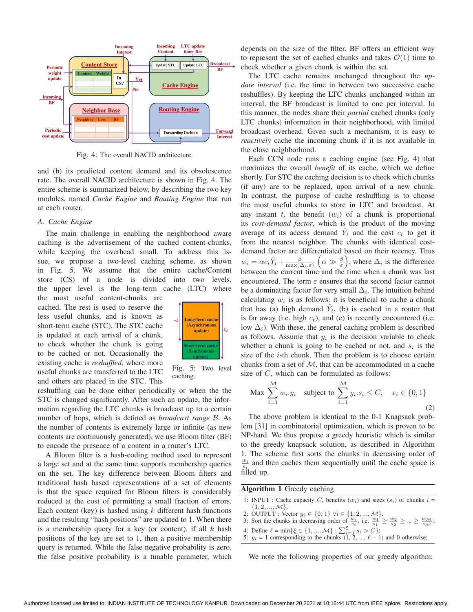

Fig. 4: The overall NACID architecture.

and (b) its predicted content demand and its obsolescence rate. The overall NACID architecture is shown in Fig. 4. The entire scheme is summarized below, by describing the two key modules, named *Cache Engine* and *Routing Engine* that run at each router.

#### *A. Cache Engine*

The main challenge in enabling the neighborhood aware caching is the advertisement of the cached content-chunks, while keeping the overhead small. To address this issue, we propose a two-level caching scheme, as shown in Fig. 5. We assume that the entire cache/Content store (CS) of a node is divided into two levels, the upper level is the long-term cache (LTC) where

the most useful content-chunks are cached. The rest is used to reserve the less useful chunks, and is known as short-term cache (STC). The STC cache is updated at each arrival of a chunk, to check whether the chunk is going to be cached or not. Occasionally the existing cache is *reshuffled*, where more useful chunks are transferred to the LTC and others are placed in the STC. This

reshuffling can be done either periodically or when the the STC is changed significantly. After such an update, the information regarding the LTC chunks is broadcast up to a certain number of hops, which is defined as *broadcast range* ℬ. As the number of contents is extremely large or infinite (as new contents are continuously generated), we use Bloom filter (BF) to encode the presence of a content in a router's LTC.

A Bloom filter is a hash-coding method used to represent a large set and at the same time supports membership queries on the set. The key difference between Bloom filters and traditional hash based representations of a set of elements is that the space required for Bloom filters is considerably reduced at the cost of permitting a small fraction of errors. Each content (key) is hashed using  $k$  different hash functions and the resulting "hash positions" are updated to 1. When there is a membership query for a key (or content), if all  $k$  hash positions of the key are set to 1, then a positive membership query is returned. While the false negative probability is zero, the false positive probability is a tunable parameter, which



Fig. 5: Two level caching.

depends on the size of the filter. BF offers an efficient way to represent the set of cached chunks and takes  $\mathcal{O}(1)$  time to check whether a given chunk is within the set.

The LTC cache remains unchanged throughout the *update interval* (i.e. the time in between two successive cache reshuffles). By keeping the LTC chunks unchanged within an interval, the BF broadcast is limited to one per interval. In this manner, the nodes share their *partial* cached chunks (only LTC chunks) information in their neighborhood, with limited broadcast overhead. Given such a mechanism, it is easy to *reactively* cache the incoming chunk if it is not available in the close neighborhood.

Each CCN node runs a caching engine (see Fig. 4) that maximizes the overall *benefit* of its cache, which we define shortly. For STC the caching decision is to check which chunks (if any) are to be replaced, upon arrival of a new chunk. In contrast, the purpose of cache reshuffling is to choose the most useful chunks to store in LTC and broadcast. At any instant t, the benefit  $(w_i)$  of a chunk is proportional its *cost-demand factor*, which is the product of the moving average of its access demand  $\hat{Y}_t$  and the cost  $c_t$  to get it from the nearest neighbor. The chunks with identical costdemand factor are differentiated based on their recency. Thus  $w_i = \alpha c_t \hat{Y}_t + \frac{\beta}{\max(\Delta_i, \varepsilon)} \left( \alpha \gg \frac{\beta}{\varepsilon} \right)$ , where  $\Delta_i$  is the difference between the current time and the time when a chunk was last encountered. The term  $\varepsilon$  ensures that the second factor cannot be a dominating factor for very small  $\Delta_i$ . The intuition behind calculating  $w_i$  is as follows: it is beneficial to cache a chunk that has (a) high demand  $\hat{Y}_t$ , (b) is cached in a router that is far away (i.e. high  $c_t$ ), and (c) is recently encountered (i.e. low  $\Delta_i$ ). With these, the general caching problem is described as follows. Assume that  $y_i$  is the decision variable to check whether a chunk is going to be cached or not, and  $s_i$  is the size of the  $i$ -th chunk. Then the problem is to choose certain chunks from a set of  $M$ , that can be accommodated in a cache size of  $C$ , which can be formulated as follows:

$$
\text{Max } \sum_{i=1}^{M} w_i \cdot y_i \quad \text{subject to } \sum_{i=1}^{M} y_i \cdot s_i \le C, \quad x_i \in \{0, 1\} \tag{2}
$$

The above problem is identical to the 0-1 Knapsack problem [31] in combinatorial optimization, which is proven to be NP-hard. We thus propose a greedy heuristic which is similar to the greedy knapsack solution, as described in Algorithm 1. The scheme first sorts the chunks in decreasing order of  $\frac{w_i}{s_i}$  and then caches them sequentially until the cache space is filled up.

#### **Algorithm 1** Greedy caching

- 1: INPUT : Cache capacity C, benefits  $(w_i)$  and sizes  $(s_i)$  of chunks  $i =$  $\{1, 2, ..., \mathcal{M}\}.$
- 2: OUTPUT : Vector  $y_i \in \{0, 1\} \forall i \in \{1, 2, ..., M\}.$
- 3: Sort the chunks in decreasing order of  $\frac{w_i}{s_i}$ , i.e.  $\frac{w_1}{s_1} \ge \frac{w_2}{s_2}$  $\frac{w_2}{s_2} \geq ... \geq \frac{w_{\mathcal{M}}}{s_{\mathcal{M}}};$
- 4: Define  $\ell = \min\{\xi \in \{1, ..., M\} : \sum_{i=1}^{\xi} s_i > C\};$ 5:  $y_i = 1$  corresponding to the chunks  $(1, 2, ..., \ell - 1)$  and 0 otherwise;

We note the following properties of our greedy algorithm: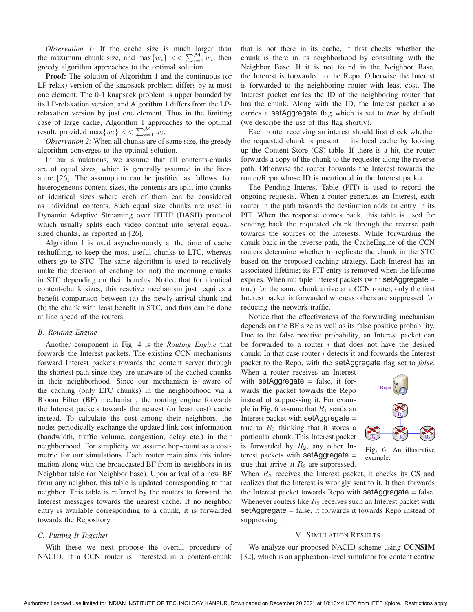*Observation 1:* If the cache size is much larger than the maximum chunk size, and max $\{w_i\} \ll \sum_{i=1}^{M} w_i$ , then greedy algorithm approaches to the optimal solution.

**Proof:** The solution of Algorithm 1 and the continuous (or LP-relax) version of the knapsack problem differs by at most one element. The 0-1 knapsack problem is upper bounded by its LP-relaxation version, and Algorithm 1 differs from the LPrelaxation version by just one element. Thus in the limiting case of large cache, Algorithm 1 approaches to the optimal result, provided max $\{w_i\} \ll \sum_{i=1}^{M} w_i$ .

*Observation 2:* When all chunks are of same size, the greedy algorithm converges to the optimal solution.

In our simulations, we assume that all contents-chunks are of equal sizes, which is generally assumed in the literature [26]. The assumption can be justified as follows: for heterogeneous content sizes, the contents are split into chunks of identical sizes where each of them can be considered as individual contents. Such equal size chunks are used in Dynamic Adaptive Streaming over HTTP (DASH) protocol which usually splits each video content into several equalsized chunks, as reported in [26].

Algorithm 1 is used asynchronously at the time of cache reshuffling, to keep the most useful chunks to LTC, whereas others go to STC. The same algorithm is used to reactively make the decision of caching (or not) the incoming chunks in STC depending on their benefits. Notice that for identical content-chunk sizes, this reactive mechanism just requires a benefit comparison between (a) the newly arrival chunk and (b) the chunk with least benefit in STC, and thus can be done at line speed of the routers.

## *B. Routing Engine*

Another component in Fig. 4 is the *Routing Engine* that forwards the Interest packets. The existing CCN mechanisms forward Interest packets towards the content server through the shortest path since they are unaware of the cached chunks in their neighborhood. Since our mechanism is aware of the caching (only LTC chunks) in the neighborhood via a Bloom Filter (BF) mechanism, the routing engine forwards the Interest packets towards the nearest (or least cost) cache instead. To calculate the cost among their neighbors, the nodes periodically exchange the updated link cost information (bandwidth, traffic volume, congestion, delay etc.) in their neighborhood. For simplicity we assume hop-count as a costmetric for our simulations. Each router maintains this information along with the broadcasted BF from its neighbors in its Neighbor table (or Neighbor base). Upon arrival of a new BF from any neighbor, this table is updated corresponding to that neighbor. This table is referred by the routers to forward the Interest messages towards the nearest cache. If no neighbor entry is available corresponding to a chunk, it is forwarded towards the Repository.

## *C. Putting It Together*

With these we next propose the overall procedure of NACID. If a CCN router is interested in a content-chunk that is not there in its cache, it first checks whether the chunk is there in its neighborhood by consulting with the Neighbor Base. If it is not found in the Neighbor Base, the Interest is forwarded to the Repo. Otherwise the Interest is forwarded to the neighboring router with least cost. The Interest packet carries the ID of the neighboring router that has the chunk. Along with the ID, the Interest packet also carries a setAggregate flag which is set to *true* by default (we describe the use of this flag shortly).

Each router receiving an interest should first check whether the requested chunk is present in its local cache by looking up the Content Store (CS) table. If there is a hit, the router forwards a copy of the chunk to the requester along the reverse path. Otherwise the router forwards the Interest towards the router/Repo whose ID is mentioned in the Interest packet.

The Pending Interest Table (PIT) is used to record the ongoing requests. When a router generates an Interest, each router in the path towards the destination adds an entry in its PIT. When the response comes back, this table is used for sending back the requested chunk through the reverse path towards the sources of the Interests. While forwarding the chunk back in the reverse path, the CacheEngine of the CCN routers determine whether to replicate the chunk in the STC based on the proposed caching strategy. Each Interest has an associated lifetime; its PIT entry is removed when the lifetime expires. When multiple Interest packets (with setAggregate = true) for the same chunk arrive at a CCN router, only the first Interest packet is forwarded whereas others are suppressed for reducing the network traffic.

Notice that the effectiveness of the forwarding mechanism depends on the BF size as well as its false positive probability. Due to the false positive probability, an Interest packet can be forwarded to a router  $i$  that does not have the desired chunk. In that case router  $i$  detects it and forwards the Interest packet to the Repo, with the setAggregate flag set to *false*.

When a router receives an Interest with setAggregate  $=$  false, it forwards the packet towards the Repo instead of suppressing it. For example in Fig. 6 assume that  $R_1$  sends an Interest packet with setAggregate = true to  $R_3$  thinking that it stores a particular chunk. This Interest packet is forwarded by  $R_2$ , any other Interest packets with setAggregate = true that arrive at  $R_2$  are suppressed.



Fig. 6: An illustrative example.

When  $R_3$  receives the Interest packet, it checks its CS and realizes that the Interest is wrongly sent to it. It then forwards the Interest packet towards Repo with setAggregate = false. Whenever routers like  $R_2$  receives such an Interest packet with setAggregate = false, it forwards it towards Repo instead of suppressing it.

# V. SIMULATION RESULTS

We analyze our proposed NACID scheme using **CCNSIM** [32], which is an application-level simulator for content centric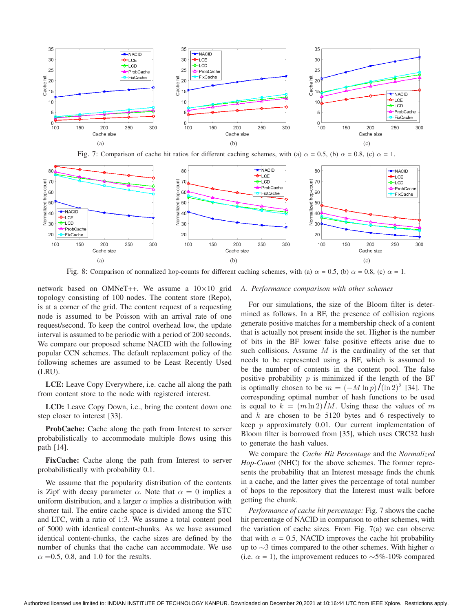

Fig. 7: Comparison of cache hit ratios for different caching schemes, with (a)  $\alpha = 0.5$ , (b)  $\alpha = 0.8$ , (c)  $\alpha = 1$ .



Fig. 8: Comparison of normalized hop-counts for different caching schemes, with (a)  $\alpha = 0.5$ , (b)  $\alpha = 0.8$ , (c)  $\alpha = 1$ .

network based on OMNeT++. We assume a  $10\times10$  grid topology consisting of 100 nodes. The content store (Repo), is at a corner of the grid. The content request of a requesting node is assumed to be Poisson with an arrival rate of one request/second. To keep the control overhead low, the update interval is assumed to be periodic with a period of 200 seconds. We compare our proposed scheme NACID with the following popular CCN schemes. The default replacement policy of the following schemes are assumed to be Least Recently Used (LRU).

**LCE:** Leave Copy Everywhere, i.e. cache all along the path from content store to the node with registered interest.

**LCD:** Leave Copy Down, i.e., bring the content down one step closer to interest [33].

**ProbCache:** Cache along the path from Interest to server probabilistically to accommodate multiple flows using this path [14].

**FixCache:** Cache along the path from Interest to server probabilistically with probability 0.1.

We assume that the popularity distribution of the contents is Zipf with decay parameter  $\alpha$ . Note that  $\alpha = 0$  implies a uniform distribution, and a larger  $\alpha$  implies a distribution with shorter tail. The entire cache space is divided among the STC and LTC, with a ratio of 1:3. We assume a total content pool of 5000 with identical content-chunks. As we have assumed identical content-chunks, the cache sizes are defined by the number of chunks that the cache can accommodate. We use  $\alpha$  =0.5, 0.8, and 1.0 for the results.

#### *A. Performance comparison with other schemes*

For our simulations, the size of the Bloom filter is determined as follows. In a BF, the presence of collision regions generate positive matches for a membership check of a content that is actually not present inside the set. Higher is the number of bits in the BF lower false positive effects arise due to such collisions. Assume  $M$  is the cardinality of the set that needs to be represented using a BF, which is assumed to be the number of contents in the content pool. The false positive probability  $p$  is minimized if the length of the BF is optimally chosen to be  $m = (-M \ln p)/(\ln 2)^2$  [34]. The corresponding optimal number of hash functions to be used is equal to  $k = (m \ln 2)/M$ . Using these the values of m and  $k$  are chosen to be 5120 bytes and 6 respectively to keep  $p$  approximately 0.01. Our current implementation of Bloom filter is borrowed from [35], which uses CRC32 hash to generate the hash values.

We compare the *Cache Hit Percentage* and the *Normalized Hop-Count* (NHC) for the above schemes. The former represents the probability that an Interest message finds the chunk in a cache, and the latter gives the percentage of total number of hops to the repository that the Interest must walk before getting the chunk.

*Performance of cache hit percentage:* Fig. 7 shows the cache hit percentage of NACID in comparison to other schemes, with the variation of cache sizes. From Fig. 7(a) we can observe that with  $\alpha = 0.5$ , NACID improves the cache hit probability up to  $\sim$ 3 times compared to the other schemes. With higher  $\alpha$ (i.e.  $\alpha = 1$ ), the improvement reduces to ~5%-10% compared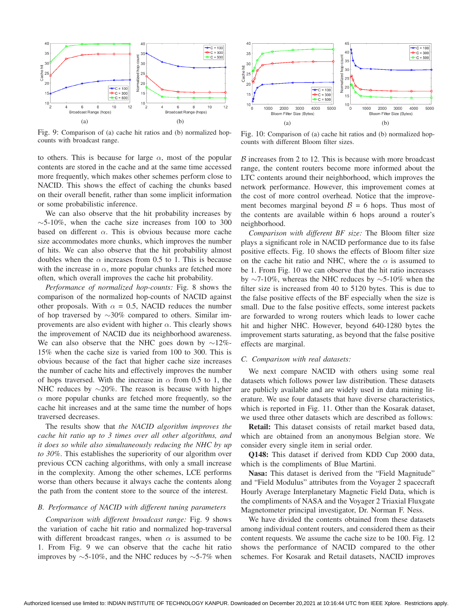

Fig. 9: Comparison of (a) cache hit ratios and (b) normalized hopcounts with broadcast range.

to others. This is because for large  $\alpha$ , most of the popular contents are stored in the cache and at the same time accessed more frequently, which makes other schemes perform close to NACID. This shows the effect of caching the chunks based on their overall benefit, rather than some implicit information or some probabilistic inference.

We can also observe that the hit probability increases by  $\sim$ 5-10%, when the cache size increases from 100 to 300 based on different  $\alpha$ . This is obvious because more cache size accommodates more chunks, which improves the number of hits. We can also observe that the hit probability almost doubles when the  $\alpha$  increases from 0.5 to 1. This is because with the increase in  $\alpha$ , more popular chunks are fetched more often, which overall improves the cache hit probability.

*Performance of normalized hop-counts:* Fig. 8 shows the comparison of the normalized hop-counts of NACID against other proposals. With  $\alpha = 0.5$ , NACID reduces the number of hop traversed by ∼30% compared to others. Similar improvements are also evident with higher  $\alpha$ . This clearly shows the improvement of NACID due its neighborhood awareness. We can also observe that the NHC goes down by  $\sim$ 12%-15% when the cache size is varied from 100 to 300. This is obvious because of the fact that higher cache size increases the number of cache hits and effectively improves the number of hops traversed. With the increase in  $\alpha$  from 0.5 to 1, the NHC reduces by  $\sim$ 20%. The reason is because with higher  $\alpha$  more popular chunks are fetched more frequently, so the cache hit increases and at the same time the number of hops traversed decreases.

The results show that *the NACID algorithm improves the cache hit ratio up to 3 times over all other algorithms, and it does so while also simultaneously reducing the NHC by up to 30%*. This establishes the superiority of our algorithm over previous CCN caching algorithms, with only a small increase in the complexity. Among the other schemes, LCE performs worse than others because it always cache the contents along the path from the content store to the source of the interest.

## *B. Performance of NACID with different tuning parameters*

*Comparison with different broadcast range:* Fig. 9 shows the variation of cache hit ratio and normalized hop-traversal with different broadcast ranges, when  $\alpha$  is assumed to be 1. From Fig. 9 we can observe that the cache hit ratio improves by  $\sim$ 5-10%, and the NHC reduces by  $\sim$ 5-7% when



Fig. 10: Comparison of (a) cache hit ratios and (b) normalized hopcounts with different Bloom filter sizes.

 $\beta$  increases from 2 to 12. This is because with more broadcast range, the content routers become more informed about the LTC contents around their neighborhood, which improves the network performance. However, this improvement comes at the cost of more control overhead. Notice that the improvement becomes marginal beyond  $\beta = 6$  hops. Thus most of the contents are available within 6 hops around a router's neighborhood.

*Comparison with different BF size:* The Bloom filter size plays a significant role in NACID performance due to its false positive effects. Fig. 10 shows the effects of Bloom filter size on the cache hit ratio and NHC, where the  $\alpha$  is assumed to be 1. From Fig. 10 we can observe that the hit ratio increases by ∼7-10%, whereas the NHC reduces by ∼5-10% when the filter size is increased from 40 to 5120 bytes. This is due to the false positive effects of the BF especially when the size is small. Due to the false positive effects, some interest packets are forwarded to wrong routers which leads to lower cache hit and higher NHC. However, beyond 640-1280 bytes the improvement starts saturating, as beyond that the false positive effects are marginal.

#### *C. Comparison with real datasets:*

We next compare NACID with others using some real datasets which follows power law distribution. These datasets are publicly available and are widely used in data mining literature. We use four datasets that have diverse characteristics, which is reported in Fig. 11. Other than the Kosarak dataset, we used three other datasets which are described as follows:

**Retail:** This dataset consists of retail market based data, which are obtained from an anonymous Belgian store. We consider every single item in serial order.

**Q148:** This dataset if derived from KDD Cup 2000 data, which is the compliments of Blue Martini.

**Nasa:** This dataset is derived from the "Field Magnitude" and "Field Modulus" attributes from the Voyager 2 spacecraft Hourly Average Interplanetary Magnetic Field Data, which is the compliments of NASA and the Voyager 2 Triaxial Fluxgate Magnetometer principal investigator, Dr. Norman F. Ness.

We have divided the contents obtained from these datasets among individual content routers, and considered them as their content requests. We assume the cache size to be 100. Fig. 12 shows the performance of NACID compared to the other schemes. For Kosarak and Retail datasets, NACID improves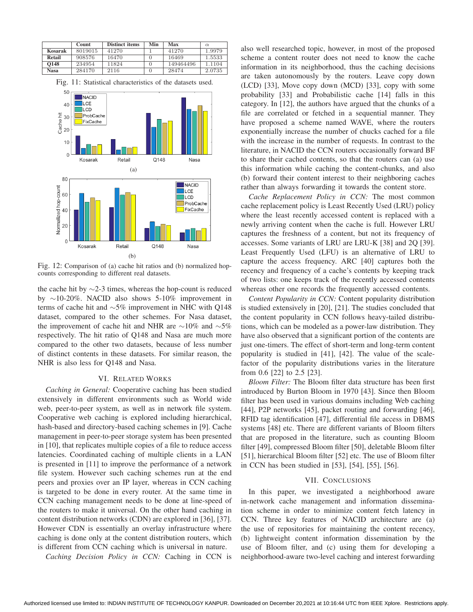|         | <b>Count</b> | <b>Distinct items</b> | Min      | Max       | $\alpha$ |
|---------|--------------|-----------------------|----------|-----------|----------|
| Kosarak | 8019015      | 41270                 |          | 41270     | 1.9979   |
| Retail  | 908576       | 16470                 | 0        | 16469     | 1.5533   |
| 0148    | 234954       | 11824                 | $\Omega$ | 149464496 | 1.1104   |
| Nasa    | 284170       | 2116                  | 0        | 28474     | 2.0735   |

Fig. 11: Statistical characteristics of the datasets used.



Fig. 12: Comparison of (a) cache hit ratios and (b) normalized hopcounts corresponding to different real datasets.

the cache hit by  $\sim$ 2-3 times, whereas the hop-count is reduced by ∼10-20%. NACID also shows 5-10% improvement in terms of cache hit and ∼5% improvement in NHC with Q148 dataset, compared to the other schemes. For Nasa dataset, the improvement of cache hit and NHR are ∼10% and ∼5% respectively. The hit ratio of Q148 and Nasa are much more compared to the other two datasets, because of less number of distinct contents in these datasets. For similar reason, the NHR is also less for Q148 and Nasa.

#### VI. RELATED WORKS

*Caching in General:* Cooperative caching has been studied extensively in different environments such as World wide web, peer-to-peer system, as well as in network file system. Cooperative web caching is explored including hierarchical, hash-based and directory-based caching schemes in [9]. Cache management in peer-to-peer storage system has been presented in [10], that replicates multiple copies of a file to reduce access latencies. Coordinated caching of multiple clients in a LAN is presented in [11] to improve the performance of a network file system. However such caching schemes run at the end peers and proxies over an IP layer, whereas in CCN caching is targeted to be done in every router. At the same time in CCN caching management needs to be done at line-speed of the routers to make it universal. On the other hand caching in content distribution networks (CDN) are explored in [36], [37]. However CDN is essentially an overlay infrastructure where caching is done only at the content distribution routers, which is different from CCN caching which is universal in nature.

*Caching Decision Policy in CCN:* Caching in CCN is

also well researched topic, however, in most of the proposed scheme a content router does not need to know the cache information in its neighborhood, thus the caching decisions are taken autonomously by the routers. Leave copy down (LCD) [33], Move copy down (MCD) [33], copy with some probability [33] and Probabilistic cache [14] falls in this category. In [12], the authors have argued that the chunks of a file are correlated or fetched in a sequential manner. They have proposed a scheme named WAVE, where the routers exponentially increase the number of chucks cached for a file with the increase in the number of requests. In contrast to the literature, in NACID the CCN routers occasionally forward BF to share their cached contents, so that the routers can (a) use this information while caching the content-chunks, and also (b) forward their content interest to their neighboring caches rather than always forwarding it towards the content store.

*Cache Replacement Policy in CCN:* The most common cache replacement policy is Least Recently Used (LRU) policy where the least recently accessed content is replaced with a newly arriving content when the cache is full. However LRU captures the freshness of a content, but not its frequency of accesses. Some variants of LRU are LRU-K [38] and 2Q [39]. Least Frequently Used (LFU) is an alternative of LRU to capture the access frequency. ARC [40] captures both the recency and frequency of a cache's contents by keeping track of two lists: one keeps track of the recently accessed contents whereas other one records the frequently accessed contents.

*Content Popularity in CCN:* Content popularity distribution is studied extensively in [20], [21]. The studies concluded that the content popularity in CCN follows heavy-tailed distributions, which can be modeled as a power-law distribution. They have also observed that a significant portion of the contents are just one-timers. The effect of short-term and long-term content popularity is studied in [41], [42]. The value of the scalefactor of the popularity distributions varies in the literature from 0.6 [22] to 2.5 [23].

*Bloom Filter:* The Bloom filter data structure has been first introduced by Burton Bloom in 1970 [43]. Since then Bloom filter has been used in various domains including Web caching [44], P2P networks [45], packet routing and forwarding [46], RFID tag identification [47], differential file access in DBMS systems [48] etc. There are different variants of Bloom filters that are proposed in the literature, such as counting Bloom filter [49], compressed Bloom filter [50], deletable Bloom filter [51], hierarchical Bloom filter [52] etc. The use of Bloom filter in CCN has been studied in [53], [54], [55], [56].

# VII. CONCLUSIONS

In this paper, we investigated a neighborhood aware in-network cache management and information dissemination scheme in order to minimize content fetch latency in CCN. Three key features of NACID architecture are (a) the use of repositories for maintaining the content recency, (b) lightweight content information dissemination by the use of Bloom filter, and (c) using them for developing a neighborhood-aware two-level caching and interest forwarding